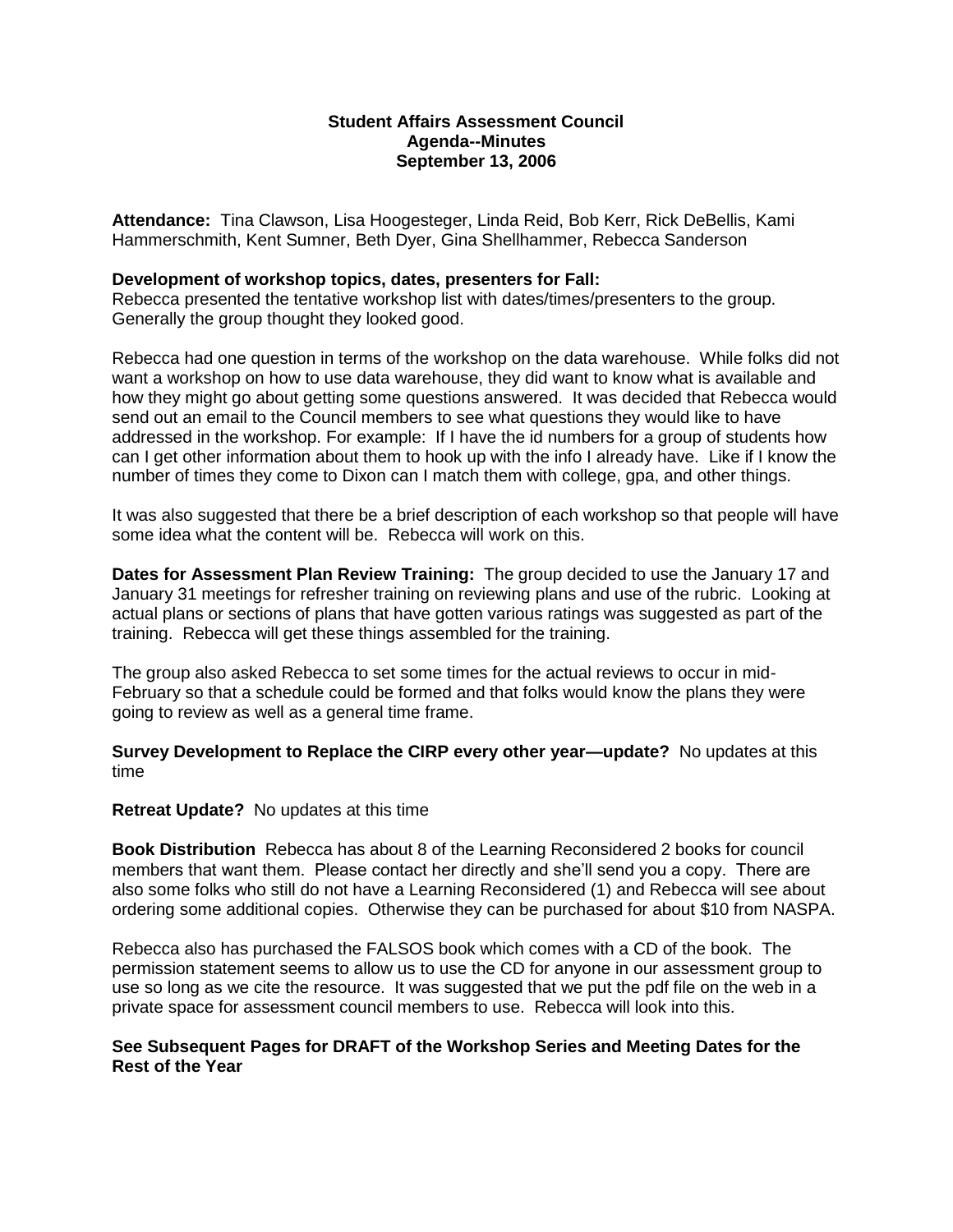## **Student Affairs Assessment Council Agenda--Minutes September 13, 2006**

**Attendance:** Tina Clawson, Lisa Hoogesteger, Linda Reid, Bob Kerr, Rick DeBellis, Kami Hammerschmith, Kent Sumner, Beth Dyer, Gina Shellhammer, Rebecca Sanderson

#### **Development of workshop topics, dates, presenters for Fall:**

Rebecca presented the tentative workshop list with dates/times/presenters to the group. Generally the group thought they looked good.

Rebecca had one question in terms of the workshop on the data warehouse. While folks did not want a workshop on how to use data warehouse, they did want to know what is available and how they might go about getting some questions answered. It was decided that Rebecca would send out an email to the Council members to see what questions they would like to have addressed in the workshop. For example: If I have the id numbers for a group of students how can I get other information about them to hook up with the info I already have. Like if I know the number of times they come to Dixon can I match them with college, gpa, and other things.

It was also suggested that there be a brief description of each workshop so that people will have some idea what the content will be. Rebecca will work on this.

**Dates for Assessment Plan Review Training:** The group decided to use the January 17 and January 31 meetings for refresher training on reviewing plans and use of the rubric. Looking at actual plans or sections of plans that have gotten various ratings was suggested as part of the training. Rebecca will get these things assembled for the training.

The group also asked Rebecca to set some times for the actual reviews to occur in mid-February so that a schedule could be formed and that folks would know the plans they were going to review as well as a general time frame.

**Survey Development to Replace the CIRP every other year—update?** No updates at this time

#### **Retreat Update?** No updates at this time

**Book Distribution** Rebecca has about 8 of the Learning Reconsidered 2 books for council members that want them. Please contact her directly and she'll send you a copy. There are also some folks who still do not have a Learning Reconsidered (1) and Rebecca will see about ordering some additional copies. Otherwise they can be purchased for about \$10 from NASPA.

Rebecca also has purchased the FALSOS book which comes with a CD of the book. The permission statement seems to allow us to use the CD for anyone in our assessment group to use so long as we cite the resource. It was suggested that we put the pdf file on the web in a private space for assessment council members to use. Rebecca will look into this.

## **See Subsequent Pages for DRAFT of the Workshop Series and Meeting Dates for the Rest of the Year**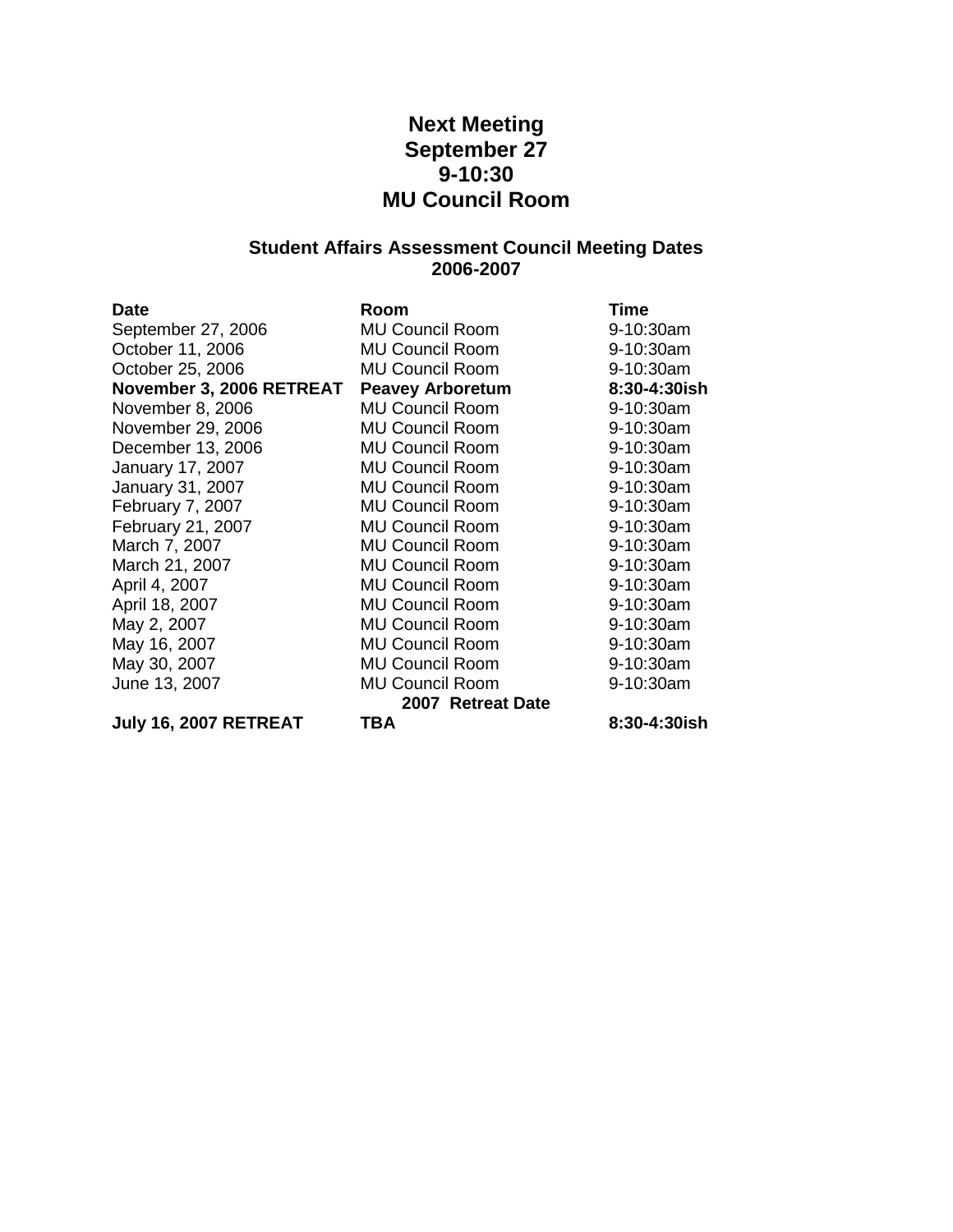# **Next Meeting September 27 9-10:30 MU Council Room**

# **Student Affairs Assessment Council Meeting Dates 2006-2007**

| <b>Date</b>              | Room                    | <b>Time</b>  |
|--------------------------|-------------------------|--------------|
| September 27, 2006       | <b>MU Council Room</b>  | 9-10:30am    |
| October 11, 2006         | <b>MU Council Room</b>  | 9-10:30am    |
| October 25, 2006         | <b>MU Council Room</b>  | 9-10:30am    |
| November 3, 2006 RETREAT | <b>Peavey Arboretum</b> | 8:30-4:30ish |
| November 8, 2006         | <b>MU Council Room</b>  | 9-10:30am    |
| November 29, 2006        | <b>MU Council Room</b>  | 9-10:30am    |
| December 13, 2006        | <b>MU Council Room</b>  | 9-10:30am    |
| January 17, 2007         | <b>MU Council Room</b>  | 9-10:30am    |
| January 31, 2007         | <b>MU Council Room</b>  | 9-10:30am    |
| February 7, 2007         | <b>MU Council Room</b>  | 9-10:30am    |
| February 21, 2007        | <b>MU Council Room</b>  | 9-10:30am    |
| March 7, 2007            | <b>MU Council Room</b>  | 9-10:30am    |
| March 21, 2007           | <b>MU Council Room</b>  | 9-10:30am    |
| April 4, 2007            | <b>MU Council Room</b>  | 9-10:30am    |
| April 18, 2007           | <b>MU Council Room</b>  | 9-10:30am    |
| May 2, 2007              | <b>MU Council Room</b>  | 9-10:30am    |
| May 16, 2007             | <b>MU Council Room</b>  | 9-10:30am    |
| May 30, 2007             | <b>MU Council Room</b>  | 9-10:30am    |
| June 13, 2007            | <b>MU Council Room</b>  | 9-10:30am    |
|                          | 2007 Retreat Date       |              |
| July 16, 2007 RETREAT    | TBA                     | 8:30-4:30ish |